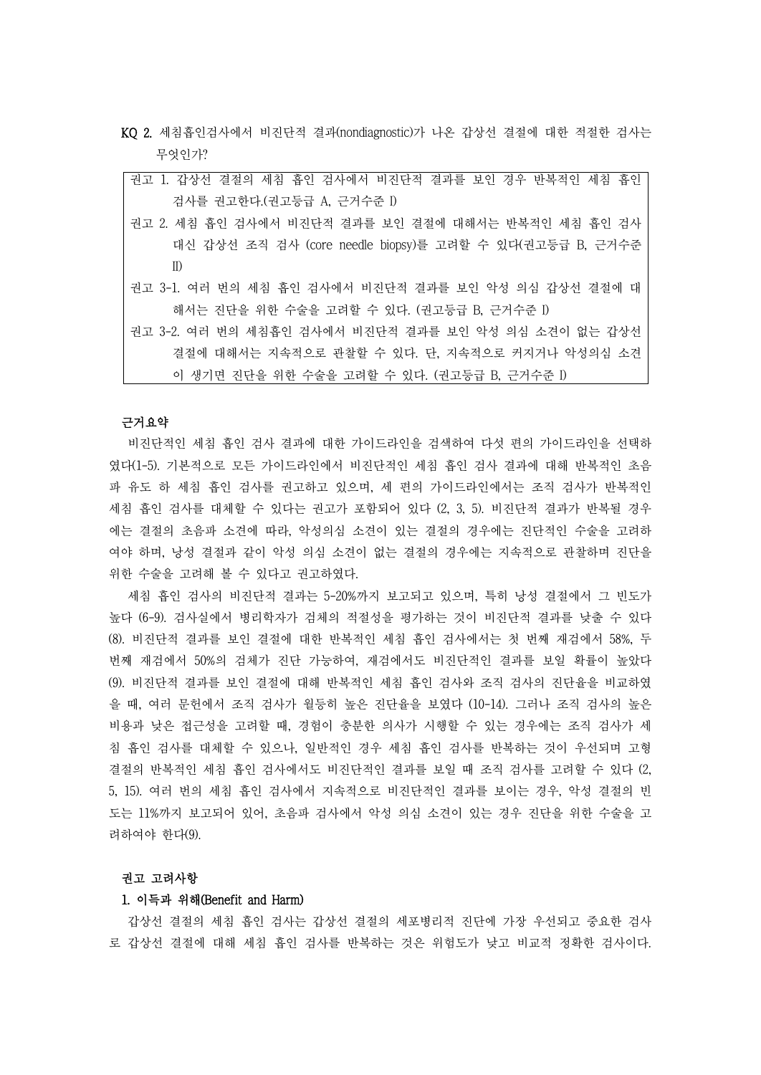- KQ 2. 세침흡인검사에서 비진단적 결과(nondiagnostic)가 나온 갑상선 결절에 대한 적절한 검사는 무엇인가?
	- 권고 1. 갑상선 결절의 세침 흡인 검사에서 비진단적 결과를 보인 경우 반복적인 세침 흡인 검사를 권고한다.(권고등급 A, 근거수준 I)
	- 권고 2. 세침 흡인 검사에서 비진단적 결과를 보인 결절에 대해서는 반복적인 세침 흡인 검사 대신 갑상선 조직 검사 (core needle biopsy)를 고려할 수 있다(권고등급 B, 근거수준 II)
	- 권고 3-1. 여러 번의 세침 흡인 검사에서 비진단적 결과를 보인 악성 의심 갑상선 결절에 대 해서는 진단을 위한 수술을 고려할 수 있다. (권고등급 B, 근거수준 I)
	- 권고 3-2. 여러 번의 세침흡인 검사에서 비진단적 결과를 보인 악성 의심 소견이 없는 갑상선 결절에 대해서는 지속적으로 관찰할 수 있다. 단, 지속적으로 커지거나 악성의심 소견 이 생기면 진단을 위한 수술을 고려할 수 있다. (권고등급 B, 근거수준 I)

# 근거요약

비진단적인 세침 흡인 검사 결과에 대한 가이드라인을 검색하여 다섯 편의 가이드라인을 선택하 였다(1-5). 기본적으로 모든 가이드라인에서 비진단적인 세침 흡인 검사 결과에 대해 반복적인 초음 파 유도 하 세침 흡인 검사를 권고하고 있으며, 세 편의 가이드라인에서는 조직 검사가 반복적인 세침 흡인 검사를 대체할 수 있다는 권고가 포함되어 있다 (2, 3, 5). 비진단적 결과가 반복될 경우 에는 결절의 초음파 소견에 따라, 악성의심 소견이 있는 결절의 경우에는 진단적인 수술을 고려하 여야 하며, 낭성 결절과 같이 악성 의심 소견이 없는 결절의 경우에는 지속적으로 관찰하며 진단을 위한 수술을 고려해 볼 수 있다고 권고하였다. 세침 흡인 검사의 비진단적 결과는 5-20%까지 보고되고 있으며, 특히 낭성 결절에서 그 빈도가

높다 (6-9). 검사실에서 병리학자가 검체의 적절성을 평가하는 것이 비진단적 결과를 낮출 수 있다 (8). 비진단적 결과를 보인 결절에 대한 반복적인 세침 흡인 검사에서는 첫 번째 재검에서 58%, 두 번째 재검에서 50%의 검체가 진단 가능하여, 재검에서도 비진단적인 결과를 보일 확률이 높았다 (9). 비진단적 결과를 보인 결절에 대해 반복적인 세침 흡인 검사와 조직 검사의 진단율을 비교하였 을 때, 여러 문헌에서 조직 검사가 월등히 높은 진단율을 보였다 (10-14). 그러나 조직 검사의 높은 비용과 낮은 접근성을 고려할 때, 경험이 충분한 의사가 시행할 수 있는 경우에는 조직 검사가 세 침 흡인 검사를 대체할 수 있으나, 일반적인 경우 세침 흡인 검사를 반복하는 것이 우선되며 고형 결절의 반복적인 세침 흡인 검사에서도 비진단적인 결과를 보일 때 조직 검사를 고려할 수 있다 (2, 5, 15). 여러 번의 세침 흡인 검사에서 지속적으로 비진단적인 결과를 보이는 경우, 악성 결절의 빈 도는 11%까지 보고되어 있어, 초음파 검사에서 악성 의심 소견이 있는 경우 진단을 위한 수술을 고 려하여야 한다(9).

### 권고 고려사항

### 1. 이득과 위해(Benefit and Harm)

갑상선 결절의 세침 흡인 검사는 갑상선 결절의 세포병리적 진단에 가장 우선되고 중요한 검사 로 갑상선 결절에 대해 세침 흡인 검사를 반복하는 것은 위험도가 낮고 비교적 정확한 검사이다.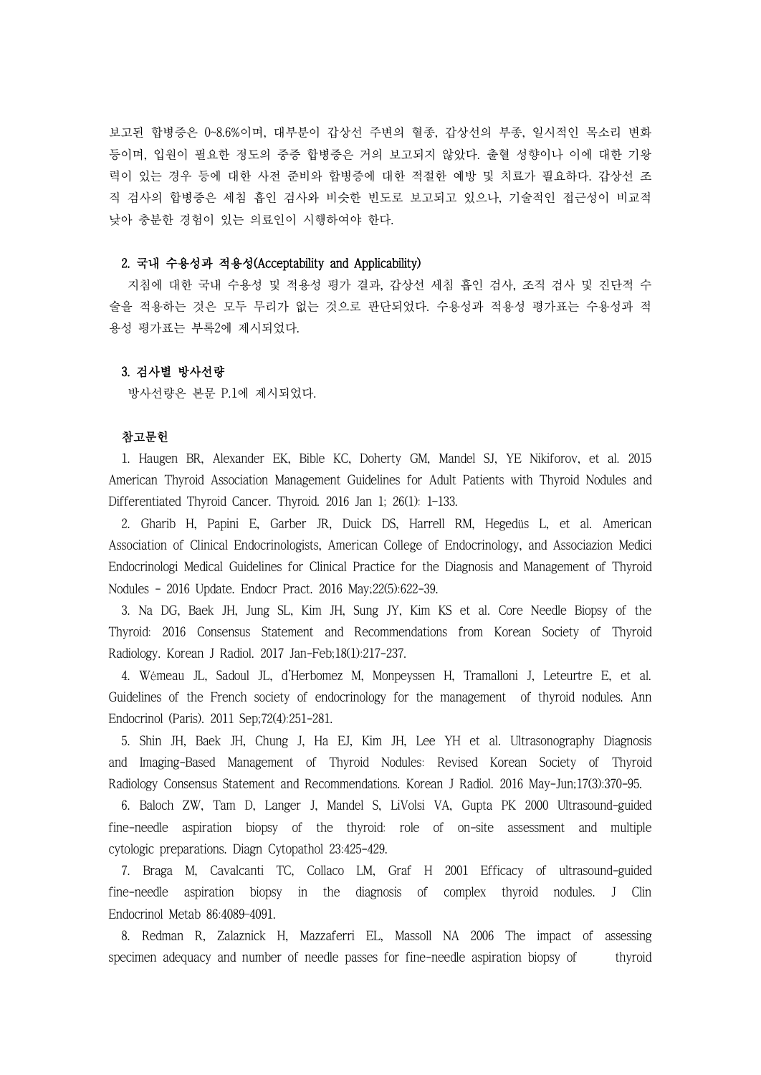보고된 합병증은 0~8.6%이며, 대부분이 갑상선 주변의 혈종, 갑상선의 부종, 일시적인 목소리 변화 등이며, 입원이 필요한 정도의 중증 합병증은 거의 보고되지 않았다. 출혈 성향이나 이에 대한 기왕 력이 있는 경우 등에 대한 사전 준비와 합병증에 대한 적절한 예방 및 치료가 필요하다. 갑상선 조 직 검사의 합병증은 세침 흡인 검사와 비슷한 빈도로 보고되고 있으나, 기술적인 접근성이 비교적 낮아 충분한 경험이 있는 의료인이 시행하여야 한다.

## 2. 국내 수용성과 적용성(Acceptability and Applicability)

지침에 대한 국내 수용성 및 적용성 평가 결과, 갑상선 세침 흡인 검사, 조직 검사 및 진단적 수 술을 적용하는 것은 모두 무리가 없는 것으로 판단되었다. 수용성과 적용성 평가표는 수용성과 적 용성 평가표는 부록2에 제시되었다.

# 3. 검사별 방사선량

방사선량은 본문 P.1에 제시되었다.

# 참고문헌

1. Haugen BR, Alexander EK, Bible KC, Doherty GM, Mandel SJ, YE Nikiforov, et al. 2015 American Thyroid Association Management Guidelines for Adult Patients with Thyroid Nodules and Differentiated Thyroid Cancer. Thyroid. 2016 Jan 1; 26(1): 1–133.

2. Gharib H, Papini E, Garber JR, Duick DS, Harrell RM, Hegedüs L, et al. American Association of Clinical Endocrinologists, American College of Endocrinology, and Associazion Medici Endocrinologi Medical Guidelines for Clinical Practice for the Diagnosis and Management of Thyroid Nodules - 2016 Update. Endocr Pract. 2016 May;22(5):622-39.

3. Na DG, Baek JH, Jung SL, Kim JH, Sung JY, Kim KS et al. Core Needle Biopsy of the Thyroid: 2016 Consensus Statement and Recommendations from Korean Society of Thyroid Radiology. Korean J Radiol. 2017 Jan-Feb;18(1):217-237.

4. Wémeau JL, Sadoul JL, d'Herbomez M, Monpeyssen H, Tramalloni J, Leteurtre E, et al. Guidelines of the French society of endocrinology for the management of thyroid nodules. Ann Endocrinol (Paris). 2011 Sep;72(4):251-281.

5. Shin JH, Baek JH, Chung J, Ha EJ, Kim JH, Lee YH et al. Ultrasonography Diagnosis and Imaging-Based Management of Thyroid Nodules: Revised Korean Society of Thyroid Radiology Consensus Statement and Recommendations. Korean J Radiol. 2016 May-Jun;17(3):370-95.

6. Baloch ZW, Tam D, Langer J, Mandel S, LiVolsi VA, Gupta PK 2000 Ultrasound-guided fine-needle aspiration biopsy of the thyroid: role of on-site assessment and multiple cytologic preparations. Diagn Cytopathol 23:425-429.

7. Braga M, Cavalcanti TC, Collaco LM, Graf H 2001 Efficacy of ultrasound-guided fine-needle aspiration biopsy in the diagnosis of complex thyroid nodules. J Clin Endocrinol Metab 86:4089–4091.

8. Redman R, Zalaznick H, Mazzaferri EL, Massoll NA 2006 The impact of assessing specimen adequacy and number of needle passes for fine-needle aspiration biopsy of thyroid